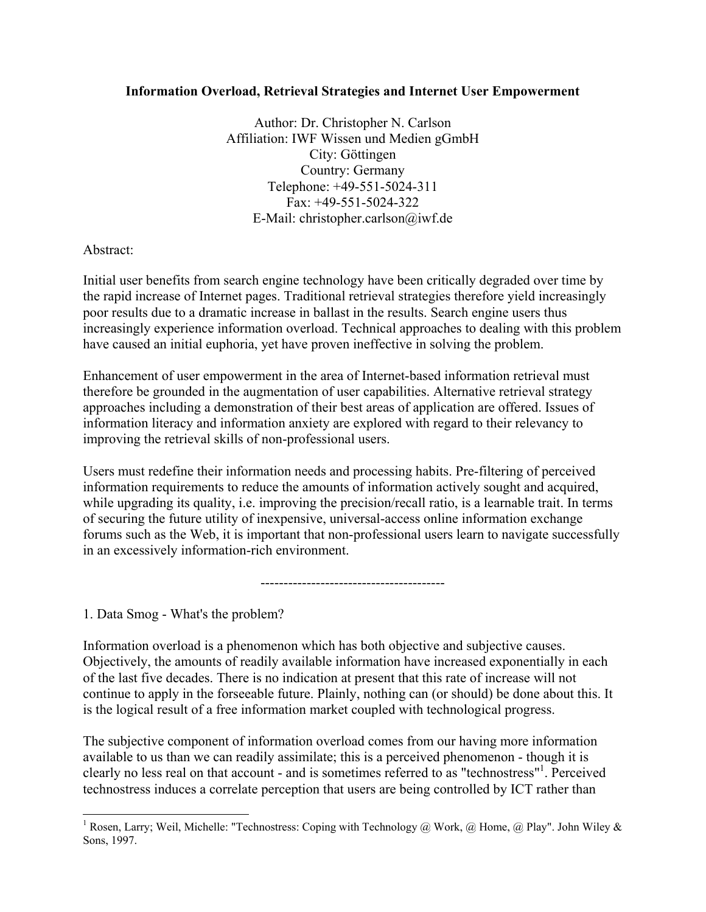### **Information Overload, Retrieval Strategies and Internet User Empowerment**

Author: Dr. Christopher N. Carlson Affiliation: IWF Wissen und Medien gGmbH City: Göttingen Country: Germany Telephone: +49-551-5024-311 Fax: +49-551-5024-322 E-Mail: christopher.carlson@iwf.de

Abstract:

Initial user benefits from search engine technology have been critically degraded over time by the rapid increase of Internet pages. Traditional retrieval strategies therefore yield increasingly poor results due to a dramatic increase in ballast in the results. Search engine users thus increasingly experience information overload. Technical approaches to dealing with this problem have caused an initial euphoria, yet have proven ineffective in solving the problem.

Enhancement of user empowerment in the area of Internet-based information retrieval must therefore be grounded in the augmentation of user capabilities. Alternative retrieval strategy approaches including a demonstration of their best areas of application are offered. Issues of information literacy and information anxiety are explored with regard to their relevancy to improving the retrieval skills of non-professional users.

Users must redefine their information needs and processing habits. Pre-filtering of perceived information requirements to reduce the amounts of information actively sought and acquired, while upgrading its quality, i.e. improving the precision/recall ratio, is a learnable trait. In terms of securing the future utility of inexpensive, universal-access online information exchange forums such as the Web, it is important that non-professional users learn to navigate successfully in an excessively information-rich environment.

----------------------------------------

1. Data Smog - What's the problem?

Information overload is a phenomenon which has both objective and subjective causes. Objectively, the amounts of readily available information have increased exponentially in each of the last five decades. There is no indication at present that this rate of increase will not continue to apply in the forseeable future. Plainly, nothing can (or should) be done about this. It is the logical result of a free information market coupled with technological progress.

The subjective component of information overload comes from our having more information available to us than we can readily assimilate; this is a perceived phenomenon - though it is clearly no less real on that account - and is sometimes referred to as "technostress"[1](#page-0-0) . Perceived technostress induces a correlate perception that users are being controlled by ICT rather than

<span id="page-0-0"></span><sup>&</sup>lt;sup>1</sup> Rosen, Larry; Weil, Michelle: "Technostress: Coping with Technology @ Work, @ Home, @ Play". John Wiley & Sons, 1997.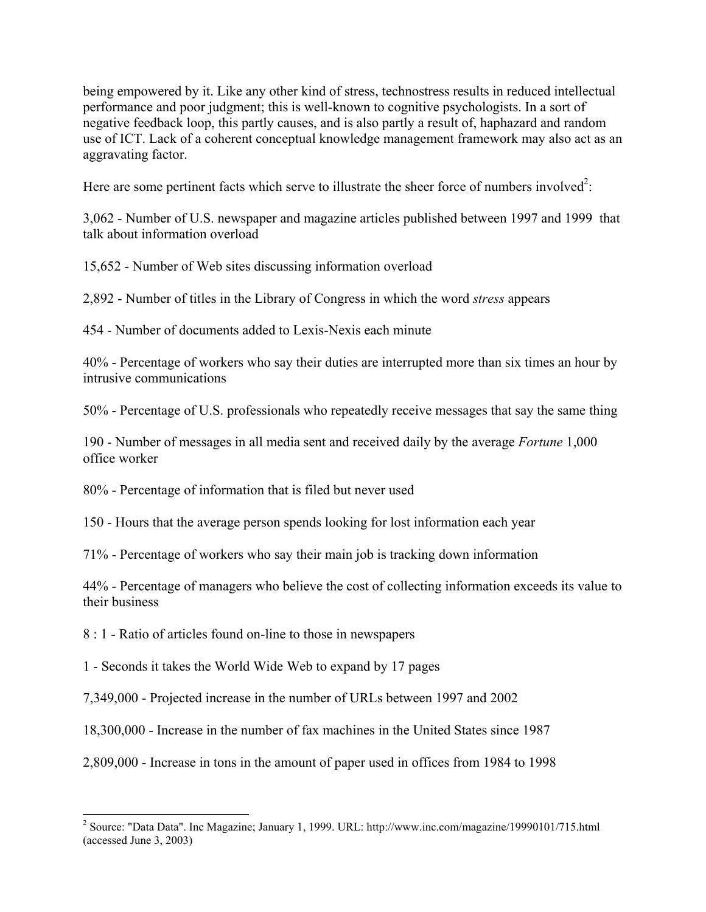being empowered by it. Like any other kind of stress, technostress results in reduced intellectual performance and poor judgment; this is well-known to cognitive psychologists. In a sort of negative feedback loop, this partly causes, and is also partly a result of, haphazard and random use of ICT. Lack of a coherent conceptual knowledge management framework may also act as an aggravating factor.

Here are some pertinent facts which serve to illustrate the sheer force of numbers involved<sup>[2](#page-1-0)</sup>:

3,062 - Number of U.S. newspaper and magazine articles published between 1997 and 1999 that talk about information overload

15,652 - Number of Web sites discussing information overload

2,892 - Number of titles in the Library of Congress in which the word *stress* appears

454 - Number of documents added to Lexis-Nexis each minute

40% - Percentage of workers who say their duties are interrupted more than six times an hour by intrusive communications

50% - Percentage of U.S. professionals who repeatedly receive messages that say the same thing

190 - Number of messages in all media sent and received daily by the average *Fortune* 1,000 office worker

80% - Percentage of information that is filed but never used

150 - Hours that the average person spends looking for lost information each year

71% - Percentage of workers who say their main job is tracking down information

44% - Percentage of managers who believe the cost of collecting information exceeds its value to their business

8 : 1 - Ratio of articles found on-line to those in newspapers

1 - Seconds it takes the World Wide Web to expand by 17 pages

7,349,000 - Projected increase in the number of URLs between 1997 and 2002

18,300,000 - Increase in the number of fax machines in the United States since 1987

2,809,000 - Increase in tons in the amount of paper used in offices from 1984 to 1998

<span id="page-1-0"></span><sup>&</sup>lt;sup>2</sup> Source: "Data Data". Inc Magazine; January 1, 1999. URL: http://www.inc.com/magazine/19990101/715.html (accessed June 3, 2003)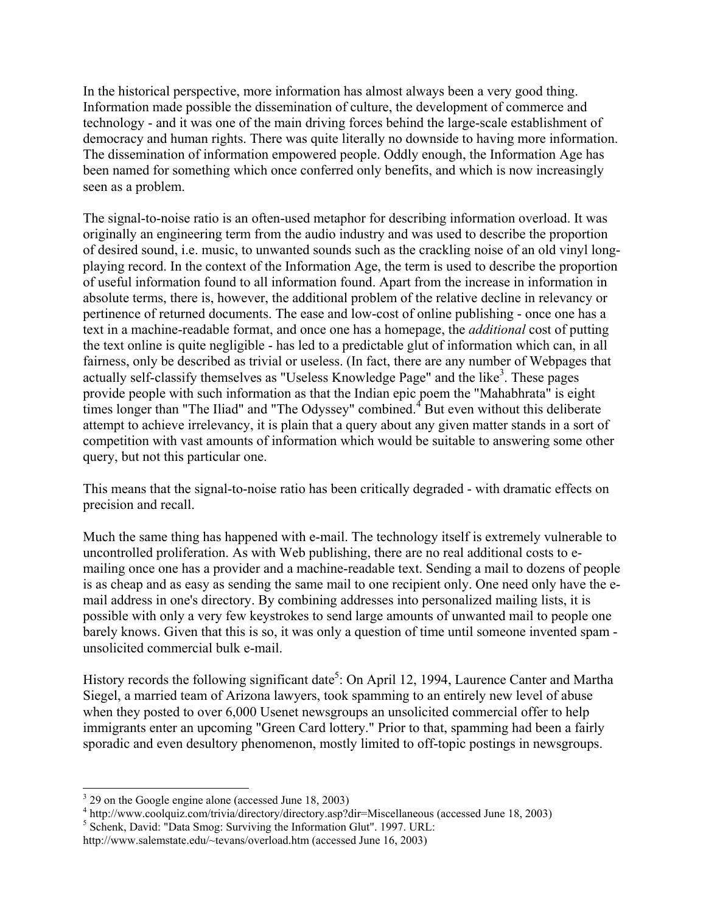In the historical perspective, more information has almost always been a very good thing. Information made possible the dissemination of culture, the development of commerce and technology - and it was one of the main driving forces behind the large-scale establishment of democracy and human rights. There was quite literally no downside to having more information. The dissemination of information empowered people. Oddly enough, the Information Age has been named for something which once conferred only benefits, and which is now increasingly seen as a problem.

The signal-to-noise ratio is an often-used metaphor for describing information overload. It was originally an engineering term from the audio industry and was used to describe the proportion of desired sound, i.e. music, to unwanted sounds such as the crackling noise of an old vinyl longplaying record. In the context of the Information Age, the term is used to describe the proportion of useful information found to all information found. Apart from the increase in information in absolute terms, there is, however, the additional problem of the relative decline in relevancy or pertinence of returned documents. The ease and low-cost of online publishing - once one has a text in a machine-readable format, and once one has a homepage, the *additional* cost of putting the text online is quite negligible - has led to a predictable glut of information which can, in all fairness, only be described as trivial or useless. (In fact, there are any number of Webpages that actually self-classify themselves as "Useless Knowledge Page" and the like<sup>[3](#page-2-0)</sup>. These pages provide people with such information as that the Indian epic poem the "Mahabhrata" is eight timeslonger than "The Iliad" and "The Odyssey" combined. $4$  But even without this deliberate attempt to achieve irrelevancy, it is plain that a query about any given matter stands in a sort of competition with vast amounts of information which would be suitable to answering some other query, but not this particular one.

This means that the signal-to-noise ratio has been critically degraded - with dramatic effects on precision and recall.

Much the same thing has happened with e-mail. The technology itself is extremely vulnerable to uncontrolled proliferation. As with Web publishing, there are no real additional costs to emailing once one has a provider and a machine-readable text. Sending a mail to dozens of people is as cheap and as easy as sending the same mail to one recipient only. One need only have the email address in one's directory. By combining addresses into personalized mailing lists, it is possible with only a very few keystrokes to send large amounts of unwanted mail to people one barely knows. Given that this is so, it was only a question of time until someone invented spam unsolicited commercial bulk e-mail.

History records the following significant date<sup>5</sup>: On April 12, 1994, Laurence Canter and Martha Siegel, a married team of Arizona lawyers, took spamming to an entirely new level of abuse when they posted to over 6,000 Usenet newsgroups an unsolicited commercial offer to help immigrants enter an upcoming "Green Card lottery." Prior to that, spamming had been a fairly sporadic and even desultory phenomenon, mostly limited to off-topic postings in newsgroups.

<span id="page-2-0"></span><sup>&</sup>lt;sup>3</sup> 29 on the Google engine alone (accessed June 18, 2003)

<span id="page-2-1"></span><sup>&</sup>lt;sup>4</sup> http://www.coolquiz.com/trivia/directory/directory.asp?dir=Miscellaneous (accessed June 18, 2003)

<span id="page-2-2"></span><sup>&</sup>lt;sup>5</sup> Schenk, David: "Data Smog: Surviving the Information Glut". 1997. URL:

http://www.salemstate.edu/~tevans/overload.htm (accessed June 16, 2003)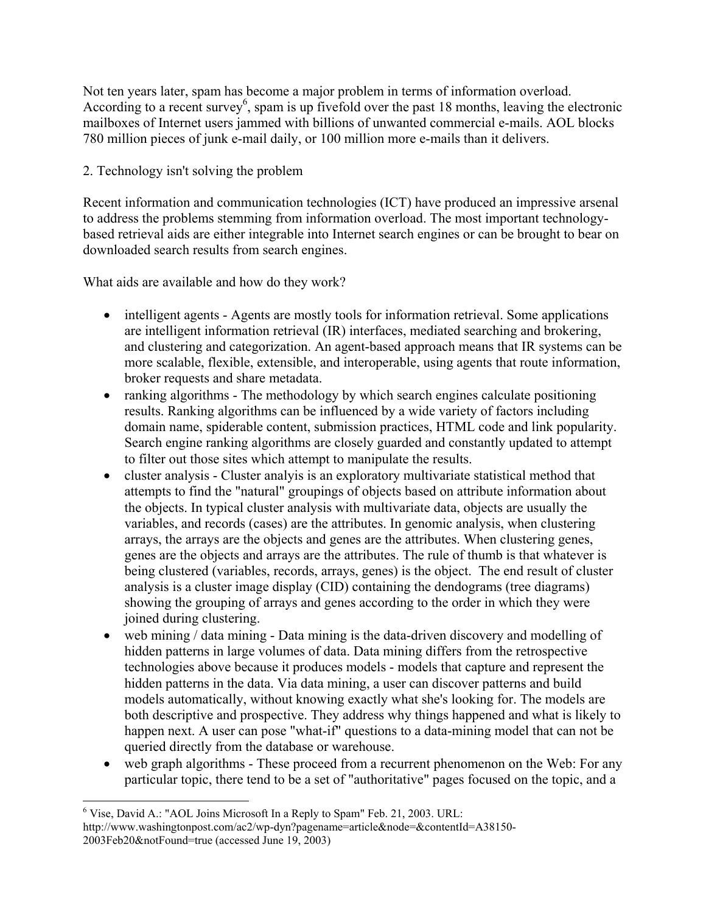Not ten years later, spam has become a major problem in terms of information overload. According to a recent survey<sup>[6](#page-3-0)</sup>, spam is up fivefold over the past 18 months, leaving the electronic mailboxes of Internet users jammed with billions of unwanted commercial e-mails. AOL blocks 780 million pieces of junk e-mail daily, or 100 million more e-mails than it delivers.

## 2. Technology isn't solving the problem

Recent information and communication technologies (ICT) have produced an impressive arsenal to address the problems stemming from information overload. The most important technologybased retrieval aids are either integrable into Internet search engines or can be brought to bear on downloaded search results from search engines.

What aids are available and how do they work?

- intelligent agents Agents are mostly tools for information retrieval. Some applications are intelligent information retrieval (IR) interfaces, mediated searching and brokering, and clustering and categorization. An agent-based approach means that IR systems can be more scalable, flexible, extensible, and interoperable, using agents that route information, broker requests and share metadata.
- ranking algorithms The methodology by which search engines calculate positioning results. Ranking algorithms can be influenced by a wide variety of factors including domain name, spiderable content, submission practices, HTML code and link popularity. Search engine ranking algorithms are closely guarded and constantly updated to attempt to filter out those sites which attempt to manipulate the results.
- cluster analysis Cluster analyis is an exploratory multivariate statistical method that attempts to find the "natural" groupings of objects based on attribute information about the objects. In typical cluster analysis with multivariate data, objects are usually the variables, and records (cases) are the attributes. In genomic analysis, when clustering arrays, the arrays are the objects and genes are the attributes. When clustering genes, genes are the objects and arrays are the attributes. The rule of thumb is that whatever is being clustered (variables, records, arrays, genes) is the object. The end result of cluster analysis is a cluster image display (CID) containing the dendograms (tree diagrams) showing the grouping of arrays and genes according to the order in which they were joined during clustering.
- web mining / data mining Data mining is the data-driven discovery and modelling of hidden patterns in large volumes of data. Data mining differs from the retrospective technologies above because it produces models - models that capture and represent the hidden patterns in the data. Via data mining, a user can discover patterns and build models automatically, without knowing exactly what she's looking for. The models are both descriptive and prospective. They address why things happened and what is likely to happen next. A user can pose "what-if" questions to a data-mining model that can not be queried directly from the database or warehouse.
- web graph algorithms These proceed from a recurrent phenomenon on the Web: For any particular topic, there tend to be a set of "authoritative" pages focused on the topic, and a

<span id="page-3-0"></span> <sup>6</sup> Vise, David A.: "AOL Joins Microsoft In a Reply to Spam" Feb. 21, 2003. URL: http://www.washingtonpost.com/ac2/wp-dyn?pagename=article&node=&contentId=A38150- 2003Feb20&notFound=true (accessed June 19, 2003)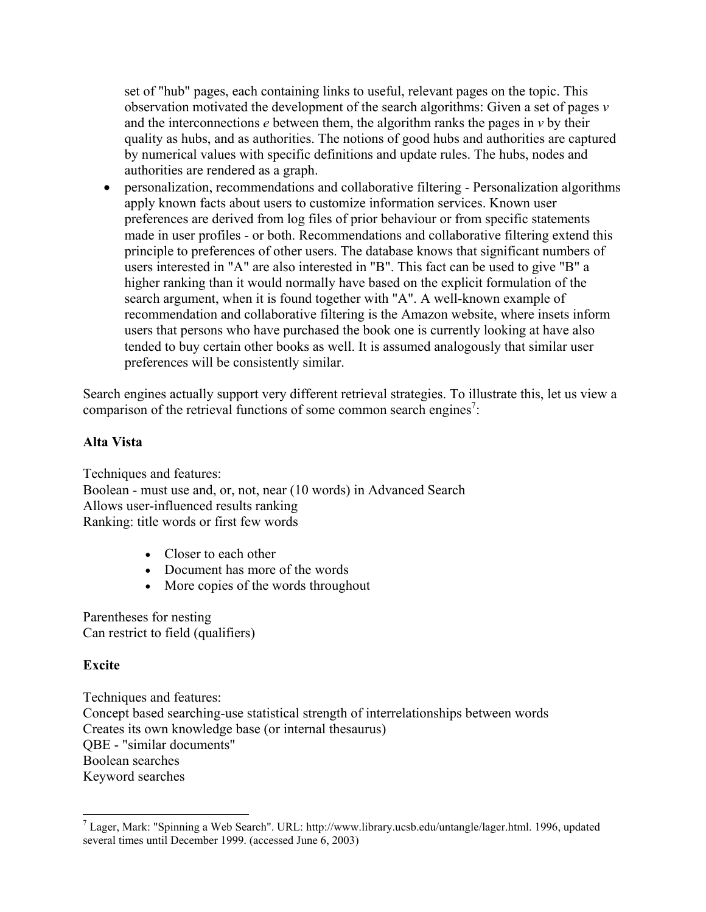set of "hub" pages, each containing links to useful, relevant pages on the topic. This observation motivated the development of the search algorithms: Given a set of pages *v* and the interconnections *e* between them, the algorithm ranks the pages in *v* by their quality as hubs, and as authorities. The notions of good hubs and authorities are captured by numerical values with specific definitions and update rules. The hubs, nodes and authorities are rendered as a graph.

• personalization, recommendations and collaborative filtering - Personalization algorithms apply known facts about users to customize information services. Known user preferences are derived from log files of prior behaviour or from specific statements made in user profiles - or both. Recommendations and collaborative filtering extend this principle to preferences of other users. The database knows that significant numbers of users interested in "A" are also interested in "B". This fact can be used to give "B" a higher ranking than it would normally have based on the explicit formulation of the search argument, when it is found together with "A". A well-known example of recommendation and collaborative filtering is the Amazon website, where insets inform users that persons who have purchased the book one is currently looking at have also tended to buy certain other books as well. It is assumed analogously that similar user preferences will be consistently similar.

Search engines actually support very different retrieval strategies. To illustrate this, let us view a comparison of the retrieval functions of some common search engines<sup>7</sup>:

### **Alta Vista**

Techniques and features: Boolean - must use and, or, not, near (10 words) in Advanced Search Allows user-influenced results ranking Ranking: title words or first few words

- Closer to each other
- Document has more of the words
- More copies of the words throughout

Parentheses for nesting Can restrict to field (qualifiers)

## **Excite**

Techniques and features: Concept based searching-use statistical strength of interrelationships between words Creates its own knowledge base (or internal thesaurus) QBE - "similar documents" Boolean searches Keyword searches

<span id="page-4-0"></span> $^7$  Lager, Mark: "Spinning a Web Search". URL: http://www.library.ucsb.edu/untangle/lager.html. 1996, updated several times until December 1999. (accessed June 6, 2003)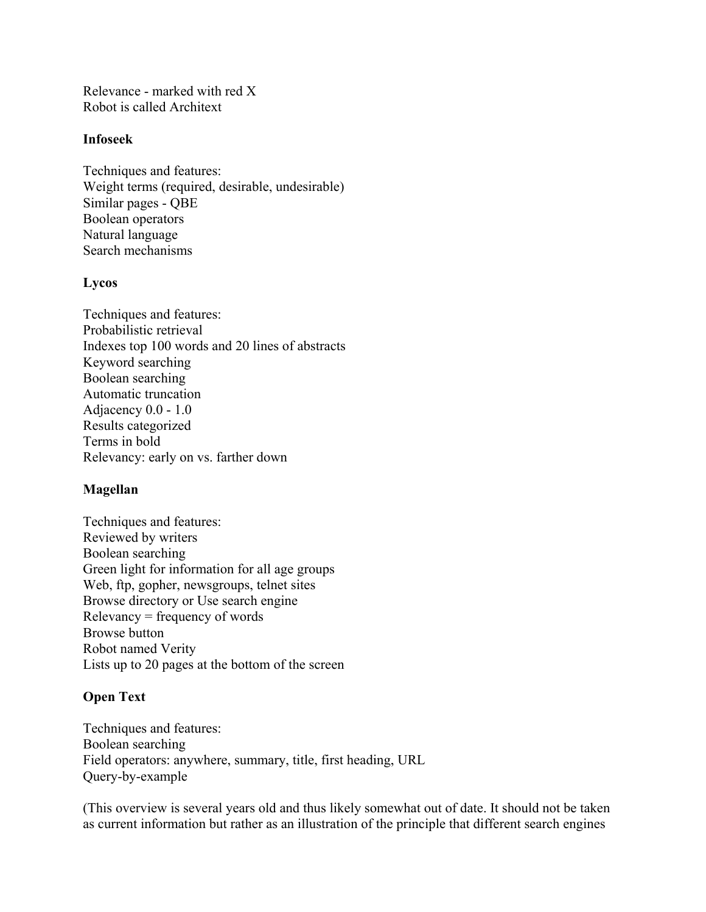Relevance - marked with red X Robot is called Architext

#### **Infoseek**

Techniques and features: Weight terms (required, desirable, undesirable) Similar pages - QBE Boolean operators Natural language Search mechanisms

#### **Lycos**

Techniques and features: Probabilistic retrieval Indexes top 100 words and 20 lines of abstracts Keyword searching Boolean searching Automatic truncation Adjacency 0.0 - 1.0 Results categorized Terms in bold Relevancy: early on vs. farther down

#### **Magellan**

Techniques and features: Reviewed by writers Boolean searching Green light for information for all age groups Web, ftp, gopher, newsgroups, telnet sites Browse directory or Use search engine Relevancy = frequency of words Browse button Robot named Verity Lists up to 20 pages at the bottom of the screen

#### **Open Text**

Techniques and features: Boolean searching Field operators: anywhere, summary, title, first heading, URL Query-by-example

(This overview is several years old and thus likely somewhat out of date. It should not be taken as current information but rather as an illustration of the principle that different search engines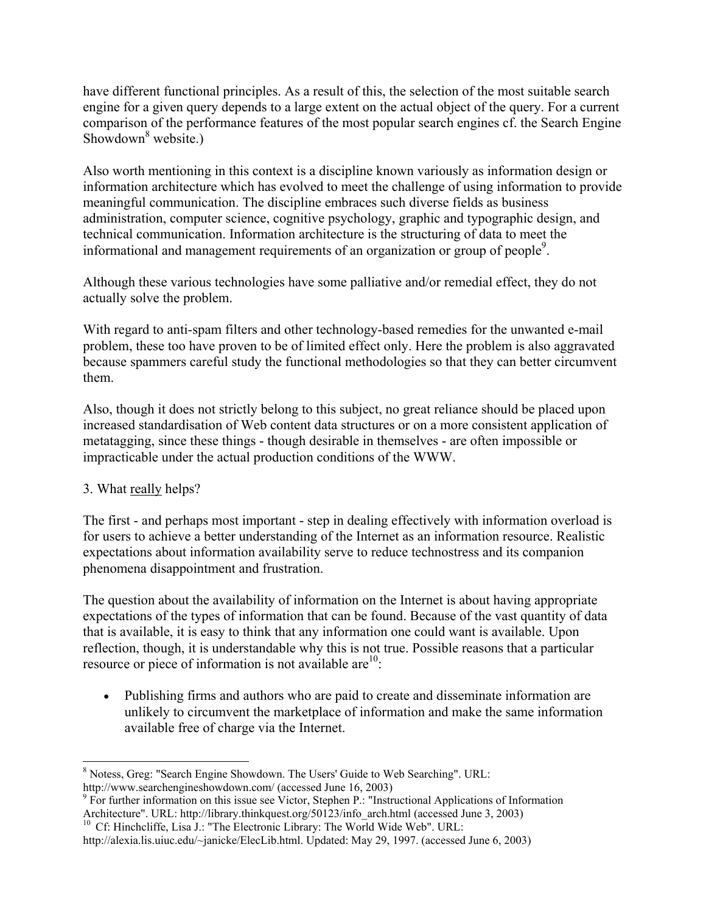have different functional principles. As a result of this, the selection of the most suitable search engine for a given query depends to a large extent on the actual object of the query. For a current comparison of the performance features of the most popular search engines cf. the Search Engine Showdown<sup>[8](#page-6-0)</sup> website.)

Also worth mentioning in this context is a discipline known variously as information design or information architecture which has evolved to meet the challenge of using information to provide meaningful communication. The discipline embraces such diverse fields as business administration, computer science, cognitive psychology, graphic and typographic design, and technical communication. Information architecture is the structuring of data to meet the informational and management requirements of an organization or group of people<sup>[9](#page-6-1)</sup>.

Although these various technologies have some palliative and/or remedial effect, they do not actually solve the problem.

With regard to anti-spam filters and other technology-based remedies for the unwanted e-mail problem, these too have proven to be of limited effect only. Here the problem is also aggravated because spammers careful study the functional methodologies so that they can better circumvent them.

Also, though it does not strictly belong to this subject, no great reliance should be placed upon increased standardisation of Web content data structures or on a more consistent application of metatagging, since these things - though desirable in themselves - are often impossible or impracticable under the actual production conditions of the WWW.

# 3. What really helps?

The first - and perhaps most important - step in dealing effectively with information overload is for users to achieve a better understanding of the Internet as an information resource. Realistic expectations about information availability serve to reduce technostress and its companion phenomena disappointment and frustration.

The question about the availability of information on the Internet is about having appropriate expectations of the types of information that can be found. Because of the vast quantity of data that is available, it is easy to think that any information one could want is available. Upon reflection, though, it is understandable why this is not true. Possible reasons that a particular resource or piece of information is not available  $are^{10}$ :

• Publishing firms and authors who are paid to create and disseminate information are unlikely to circumvent the marketplace of information and make the same information available free of charge via the Internet.

<span id="page-6-0"></span><sup>8</sup> Notess, Greg: "Search Engine Showdown. The Users' Guide to Web Searching". URL: http://www.searchengineshowdown.com/ (accessed June 16, 2003)

<span id="page-6-1"></span> $9$  For further information on this issue see Victor, Stephen P.: "Instructional Applications of Information Architecture". URL: http://library.thinkquest.org/50123/info\_arch.html (accessed June 3, 2003) <sup>10</sup> Cf: Hinchcliffe, Lisa J.: "The Electronic Library: The World Wide Web". URL:

<span id="page-6-2"></span>

http://alexia.lis.uiuc.edu/~janicke/ElecLib.html. Updated: May 29, 1997. (accessed June 6, 2003)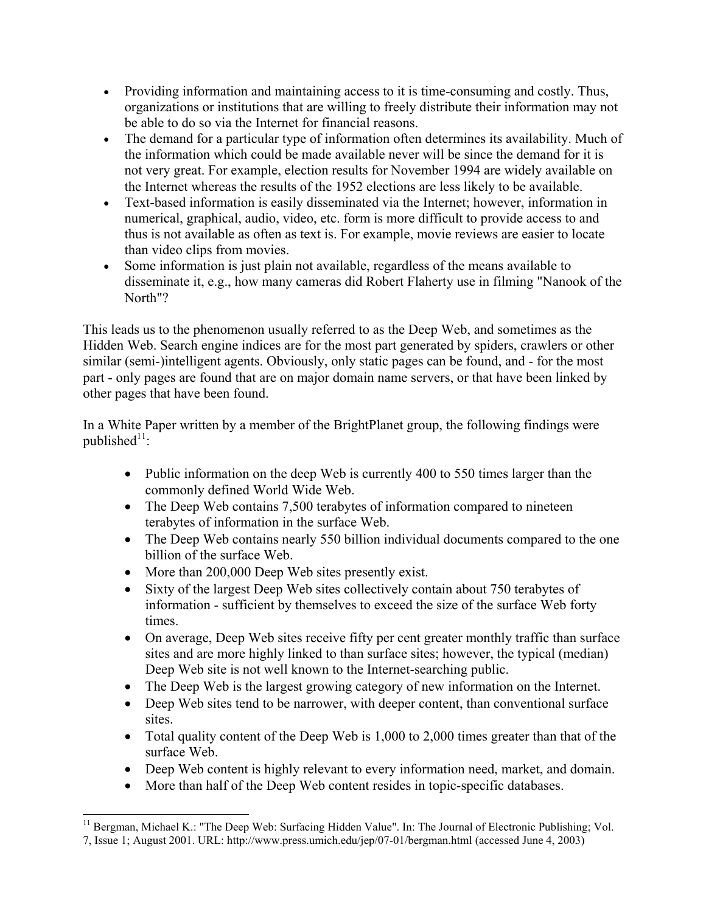- Providing information and maintaining access to it is time-consuming and costly. Thus, organizations or institutions that are willing to freely distribute their information may not be able to do so via the Internet for financial reasons.
- The demand for a particular type of information often determines its availability. Much of the information which could be made available never will be since the demand for it is not very great. For example, election results for November 1994 are widely available on the Internet whereas the results of the 1952 elections are less likely to be available.
- Text-based information is easily disseminated via the Internet; however, information in numerical, graphical, audio, video, etc. form is more difficult to provide access to and thus is not available as often as text is. For example, movie reviews are easier to locate than video clips from movies.
- Some information is just plain not available, regardless of the means available to disseminate it, e.g., how many cameras did Robert Flaherty use in filming "Nanook of the North"?

This leads us to the phenomenon usually referred to as the Deep Web, and sometimes as the Hidden Web. Search engine indices are for the most part generated by spiders, crawlers or other similar (semi-)intelligent agents. Obviously, only static pages can be found, and - for the most part - only pages are found that are on major domain name servers, or that have been linked by other pages that have been found.

In a White Paper written by a member of the BrightPlanet group, the following findings were published $11$ :

- Public information on the deep Web is currently 400 to 550 times larger than the commonly defined World Wide Web.
- The Deep Web contains 7,500 terabytes of information compared to nineteen terabytes of information in the surface Web.
- The Deep Web contains nearly 550 billion individual documents compared to the one billion of the surface Web.
- More than 200,000 Deep Web sites presently exist.
- Sixty of the largest Deep Web sites collectively contain about 750 terabytes of information - sufficient by themselves to exceed the size of the surface Web forty times.
- On average, Deep Web sites receive fifty per cent greater monthly traffic than surface sites and are more highly linked to than surface sites; however, the typical (median) Deep Web site is not well known to the Internet-searching public.
- The Deep Web is the largest growing category of new information on the Internet.
- Deep Web sites tend to be narrower, with deeper content, than conventional surface sites.
- Total quality content of the Deep Web is 1,000 to 2,000 times greater than that of the surface Web.
- Deep Web content is highly relevant to every information need, market, and domain.
- More than half of the Deep Web content resides in topic-specific databases.

<span id="page-7-0"></span> <sup>11</sup> Bergman, Michael K.: "The Deep Web: Surfacing Hidden Value". In: The Journal of Electronic Publishing; Vol. 7, Issue 1; August 2001. URL: http://www.press.umich.edu/jep/07-01/bergman.html (accessed June 4, 2003)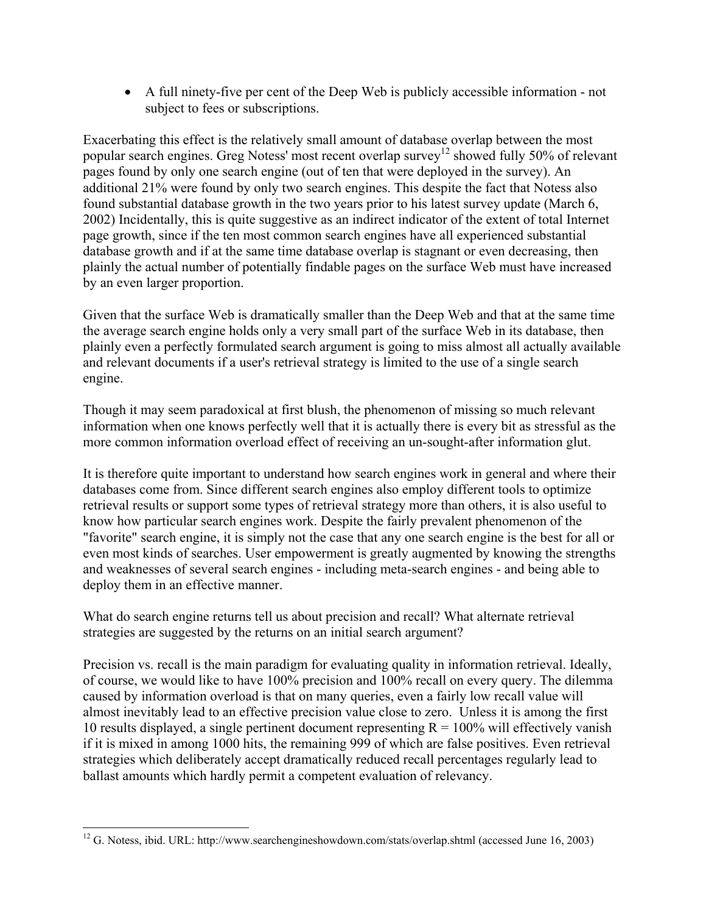• A full ninety-five per cent of the Deep Web is publicly accessible information - not subject to fees or subscriptions.

Exacerbating this effect is the relatively small amount of database overlap between the most popular search engines. Greg Notess' most recent overlap survey<sup>12</sup> showed fully 50% of relevant pages found by only one search engine (out of ten that were deployed in the survey). An additional 21% were found by only two search engines. This despite the fact that Notess also found substantial database growth in the two years prior to his latest survey update (March 6, 2002) Incidentally, this is quite suggestive as an indirect indicator of the extent of total Internet page growth, since if the ten most common search engines have all experienced substantial database growth and if at the same time database overlap is stagnant or even decreasing, then plainly the actual number of potentially findable pages on the surface Web must have increased by an even larger proportion.

Given that the surface Web is dramatically smaller than the Deep Web and that at the same time the average search engine holds only a very small part of the surface Web in its database, then plainly even a perfectly formulated search argument is going to miss almost all actually available and relevant documents if a user's retrieval strategy is limited to the use of a single search engine.

Though it may seem paradoxical at first blush, the phenomenon of missing so much relevant information when one knows perfectly well that it is actually there is every bit as stressful as the more common information overload effect of receiving an un-sought-after information glut.

It is therefore quite important to understand how search engines work in general and where their databases come from. Since different search engines also employ different tools to optimize retrieval results or support some types of retrieval strategy more than others, it is also useful to know how particular search engines work. Despite the fairly prevalent phenomenon of the "favorite" search engine, it is simply not the case that any one search engine is the best for all or even most kinds of searches. User empowerment is greatly augmented by knowing the strengths and weaknesses of several search engines - including meta-search engines - and being able to deploy them in an effective manner.

What do search engine returns tell us about precision and recall? What alternate retrieval strategies are suggested by the returns on an initial search argument?

Precision vs. recall is the main paradigm for evaluating quality in information retrieval. Ideally, of course, we would like to have 100% precision and 100% recall on every query. The dilemma caused by information overload is that on many queries, even a fairly low recall value will almost inevitably lead to an effective precision value close to zero. Unless it is among the first 10 results displayed, a single pertinent document representing  $R = 100\%$  will effectively vanish if it is mixed in among 1000 hits, the remaining 999 of which are false positives. Even retrieval strategies which deliberately accept dramatically reduced recall percentages regularly lead to ballast amounts which hardly permit a competent evaluation of relevancy.

<span id="page-8-0"></span> $\overline{a}$  $12$  G. Notess, ibid. URL: http://www.searchengineshowdown.com/stats/overlap.shtml (accessed June 16, 2003)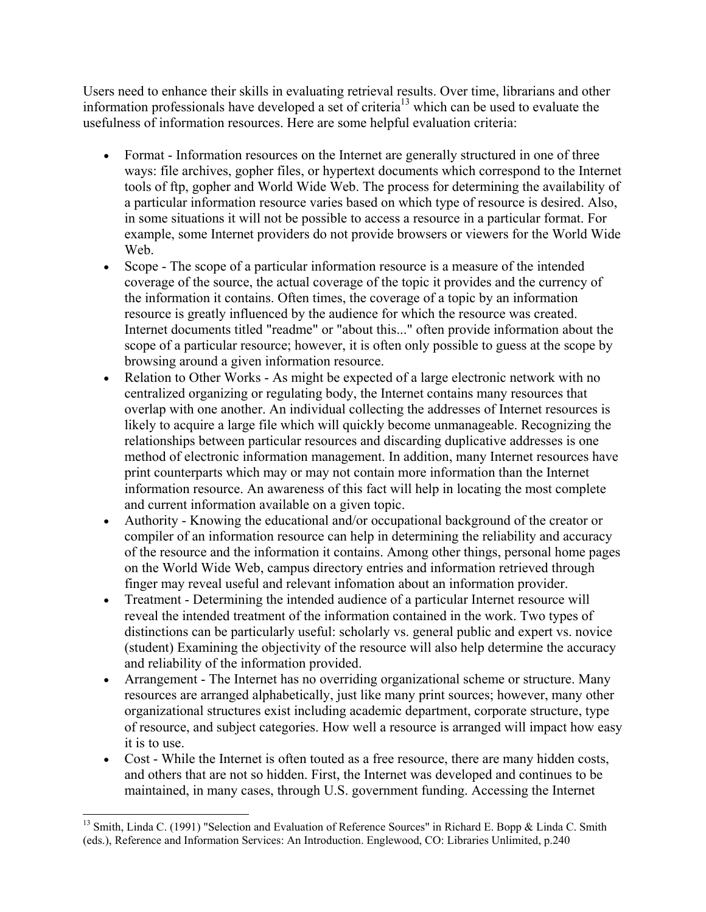Users need to enhance their skills in evaluating retrieval results. Over time, librarians and other information professionals have developed a set of criteria<sup>13</sup> which can be used to evaluate the usefulness of information resources. Here are some helpful evaluation criteria:

- Format Information resources on the Internet are generally structured in one of three ways: file archives, gopher files, or hypertext documents which correspond to the Internet tools of ftp, gopher and World Wide Web. The process for determining the availability of a particular information resource varies based on which type of resource is desired. Also, in some situations it will not be possible to access a resource in a particular format. For example, some Internet providers do not provide browsers or viewers for the World Wide Web.
- Scope The scope of a particular information resource is a measure of the intended coverage of the source, the actual coverage of the topic it provides and the currency of the information it contains. Often times, the coverage of a topic by an information resource is greatly influenced by the audience for which the resource was created. Internet documents titled "readme" or "about this..." often provide information about the scope of a particular resource; however, it is often only possible to guess at the scope by browsing around a given information resource.
- Relation to Other Works As might be expected of a large electronic network with no centralized organizing or regulating body, the Internet contains many resources that overlap with one another. An individual collecting the addresses of Internet resources is likely to acquire a large file which will quickly become unmanageable. Recognizing the relationships between particular resources and discarding duplicative addresses is one method of electronic information management. In addition, many Internet resources have print counterparts which may or may not contain more information than the Internet information resource. An awareness of this fact will help in locating the most complete and current information available on a given topic.
- Authority Knowing the educational and/or occupational background of the creator or compiler of an information resource can help in determining the reliability and accuracy of the resource and the information it contains. Among other things, personal home pages on the World Wide Web, campus directory entries and information retrieved through finger may reveal useful and relevant infomation about an information provider.
- Treatment Determining the intended audience of a particular Internet resource will reveal the intended treatment of the information contained in the work. Two types of distinctions can be particularly useful: scholarly vs. general public and expert vs. novice (student) Examining the objectivity of the resource will also help determine the accuracy and reliability of the information provided.
- Arrangement The Internet has no overriding organizational scheme or structure. Many resources are arranged alphabetically, just like many print sources; however, many other organizational structures exist including academic department, corporate structure, type of resource, and subject categories. How well a resource is arranged will impact how easy it is to use.
- Cost While the Internet is often touted as a free resource, there are many hidden costs, and others that are not so hidden. First, the Internet was developed and continues to be maintained, in many cases, through U.S. government funding. Accessing the Internet

<span id="page-9-0"></span> <sup>13</sup> Smith, Linda C. (1991) "Selection and Evaluation of Reference Sources" in Richard E. Bopp & Linda C. Smith (eds.), Reference and Information Services: An Introduction. Englewood, CO: Libraries Unlimited, p.240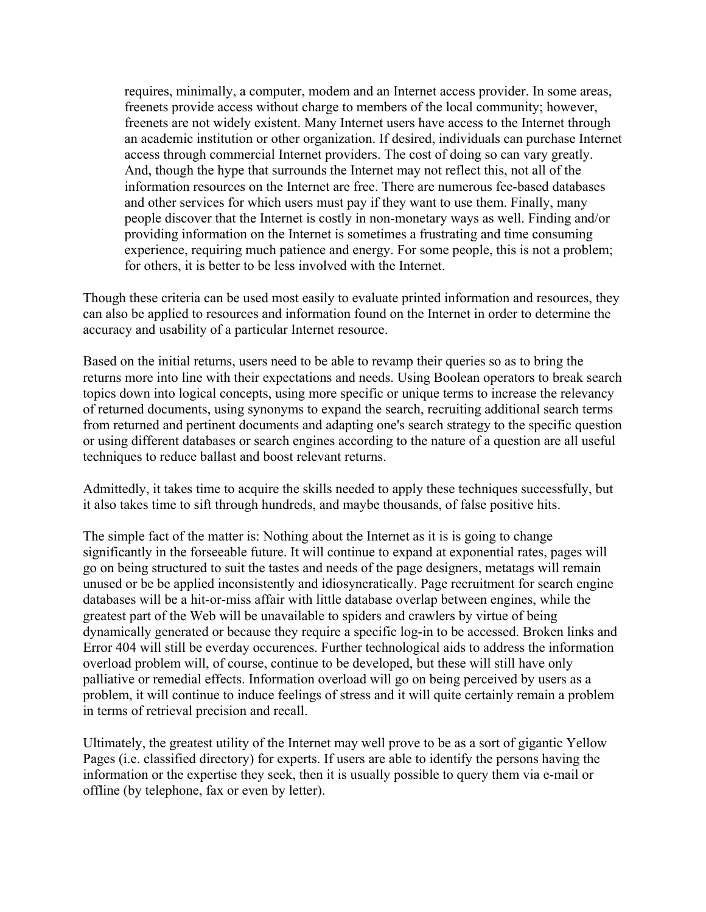requires, minimally, a computer, modem and an Internet access provider. In some areas, freenets provide access without charge to members of the local community; however, freenets are not widely existent. Many Internet users have access to the Internet through an academic institution or other organization. If desired, individuals can purchase Internet access through commercial Internet providers. The cost of doing so can vary greatly. And, though the hype that surrounds the Internet may not reflect this, not all of the information resources on the Internet are free. There are numerous fee-based databases and other services for which users must pay if they want to use them. Finally, many people discover that the Internet is costly in non-monetary ways as well. Finding and/or providing information on the Internet is sometimes a frustrating and time consuming experience, requiring much patience and energy. For some people, this is not a problem; for others, it is better to be less involved with the Internet.

Though these criteria can be used most easily to evaluate printed information and resources, they can also be applied to resources and information found on the Internet in order to determine the accuracy and usability of a particular Internet resource.

Based on the initial returns, users need to be able to revamp their queries so as to bring the returns more into line with their expectations and needs. Using Boolean operators to break search topics down into logical concepts, using more specific or unique terms to increase the relevancy of returned documents, using synonyms to expand the search, recruiting additional search terms from returned and pertinent documents and adapting one's search strategy to the specific question or using different databases or search engines according to the nature of a question are all useful techniques to reduce ballast and boost relevant returns.

Admittedly, it takes time to acquire the skills needed to apply these techniques successfully, but it also takes time to sift through hundreds, and maybe thousands, of false positive hits.

The simple fact of the matter is: Nothing about the Internet as it is is going to change significantly in the forseeable future. It will continue to expand at exponential rates, pages will go on being structured to suit the tastes and needs of the page designers, metatags will remain unused or be be applied inconsistently and idiosyncratically. Page recruitment for search engine databases will be a hit-or-miss affair with little database overlap between engines, while the greatest part of the Web will be unavailable to spiders and crawlers by virtue of being dynamically generated or because they require a specific log-in to be accessed. Broken links and Error 404 will still be everday occurences. Further technological aids to address the information overload problem will, of course, continue to be developed, but these will still have only palliative or remedial effects. Information overload will go on being perceived by users as a problem, it will continue to induce feelings of stress and it will quite certainly remain a problem in terms of retrieval precision and recall.

Ultimately, the greatest utility of the Internet may well prove to be as a sort of gigantic Yellow Pages (i.e. classified directory) for experts. If users are able to identify the persons having the information or the expertise they seek, then it is usually possible to query them via e-mail or offline (by telephone, fax or even by letter).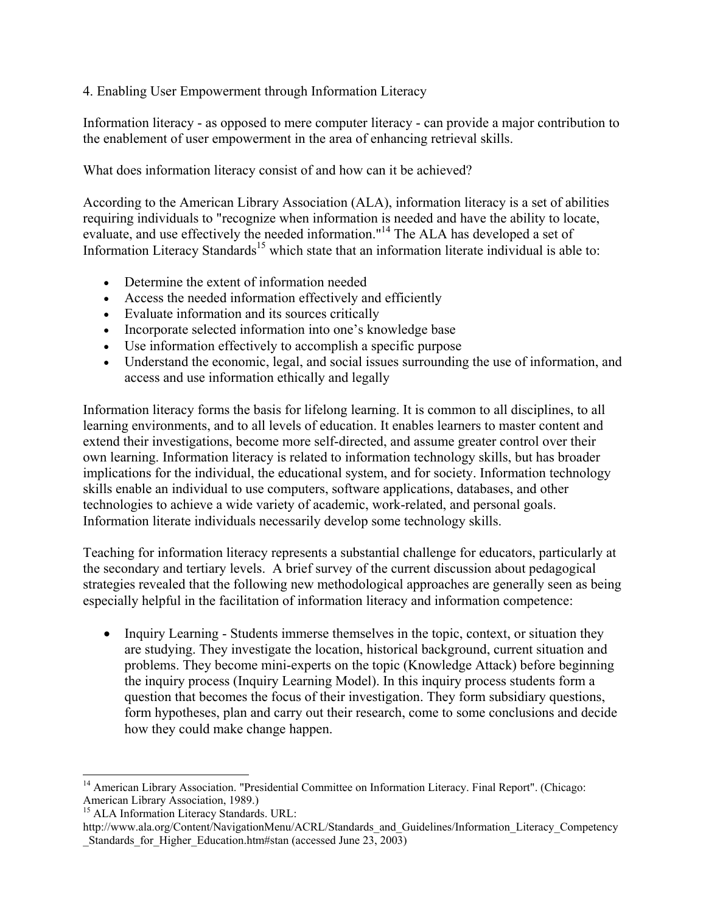## 4. Enabling User Empowerment through Information Literacy

Information literacy - as opposed to mere computer literacy - can provide a major contribution to the enablement of user empowerment in the area of enhancing retrieval skills.

What does information literacy consist of and how can it be achieved?

According to the American Library Association (ALA), information literacy is a set of abilities requiring individuals to "recognize when information is needed and have the ability to locate, evaluate, and use effectively the needed information."<sup>14</sup> The ALA has developed a set of Information Literacy Standards<sup>15</sup> which state that an information literate individual is able to:

- Determine the extent of information needed
- Access the needed information effectively and efficiently
- Evaluate information and its sources critically
- Incorporate selected information into one's knowledge base
- Use information effectively to accomplish a specific purpose
- Understand the economic, legal, and social issues surrounding the use of information, and access and use information ethically and legally

Information literacy forms the basis for lifelong learning. It is common to all disciplines, to all learning environments, and to all levels of education. It enables learners to master content and extend their investigations, become more self-directed, and assume greater control over their own learning. Information literacy is related to information technology skills, but has broader implications for the individual, the educational system, and for society. Information technology skills enable an individual to use computers, software applications, databases, and other technologies to achieve a wide variety of academic, work-related, and personal goals. Information literate individuals necessarily develop some technology skills.

Teaching for information literacy represents a substantial challenge for educators, particularly at the secondary and tertiary levels. A brief survey of the current discussion about pedagogical strategies revealed that the following new methodological approaches are generally seen as being especially helpful in the facilitation of information literacy and information competence:

• Inquiry Learning - Students immerse themselves in the topic, context, or situation they are studying. They investigate the location, historical background, current situation and problems. They become mini-experts on the topic (Knowledge Attack) before beginning the inquiry process (Inquiry Learning Model). In this inquiry process students form a question that becomes the focus of their investigation. They form subsidiary questions, form hypotheses, plan and carry out their research, come to some conclusions and decide how they could make change happen.

<span id="page-11-0"></span><sup>&</sup>lt;sup>14</sup> American Library Association. "[Presidential Committee on Information Literacy. Final Report"](http://www.ala.org/Content/NavigationMenu/ACRL/Publications/White_Papers_and_Reports/Presidential_Committee_on_Information_Literacy.htm). (Chicago: American Library Association, 1989.)

<span id="page-11-1"></span><sup>&</sup>lt;sup>15</sup> ALA Information Literacy Standards. URL:

http://www.ala.org/Content/NavigationMenu/ACRL/Standards\_and\_Guidelines/Information\_Literacy\_Competency Standards for Higher Education.htm#stan (accessed June  $23, 2003$ )